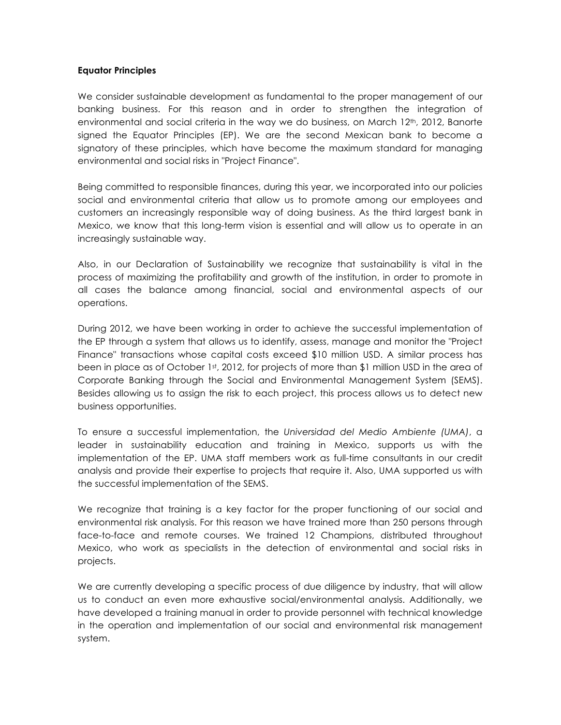## **Equator Principles**

We consider sustainable development as fundamental to the proper management of our banking business. For this reason and in order to strengthen the integration of environmental and social criteria in the way we do business, on March 12th, 2012, Banorte signed the Equator Principles (EP). We are the second Mexican bank to become a signatory of these principles, which have become the maximum standard for managing environmental and social risks in "Project Finance".

Being committed to responsible finances, during this year, we incorporated into our policies social and environmental criteria that allow us to promote among our employees and customers an increasingly responsible way of doing business. As the third largest bank in Mexico, we know that this long-term vision is essential and will allow us to operate in an increasingly sustainable way.

Also, in our Declaration of Sustainability we recognize that sustainability is vital in the process of maximizing the profitability and growth of the institution, in order to promote in all cases the balance among financial, social and environmental aspects of our operations.

During 2012, we have been working in order to achieve the successful implementation of the EP through a system that allows us to identify, assess, manage and monitor the "Project Finance" transactions whose capital costs exceed \$10 million USD. A similar process has been in place as of October 1st, 2012, for projects of more than \$1 million USD in the area of Corporate Banking through the Social and Environmental Management System (SEMS). Besides allowing us to assign the risk to each project, this process allows us to detect new business opportunities.

To ensure a successful implementation, the *Universidad del Medio Ambiente (UMA)*, a leader in sustainability education and training in Mexico, supports us with the implementation of the EP. UMA staff members work as full-time consultants in our credit analysis and provide their expertise to projects that require it. Also, UMA supported us with the successful implementation of the SEMS.

We recognize that training is a key factor for the proper functioning of our social and environmental risk analysis. For this reason we have trained more than 250 persons through face-to-face and remote courses. We trained 12 Champions, distributed throughout Mexico, who work as specialists in the detection of environmental and social risks in projects.

We are currently developing a specific process of due diligence by industry, that will allow us to conduct an even more exhaustive social/environmental analysis. Additionally, we have developed a training manual in order to provide personnel with technical knowledge in the operation and implementation of our social and environmental risk management system.